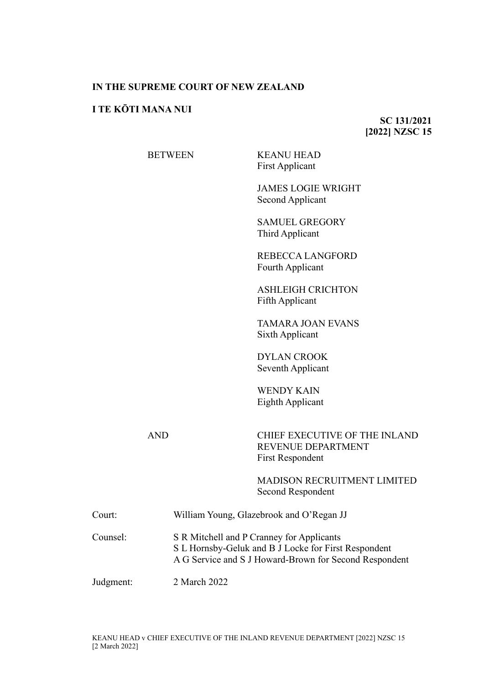## **IN THE SUPREME COURT OF NEW ZEALAND**

## **I TE KŌTI MANA NUI**

**SC 131/2021 [2022] NZSC 15**

BETWEEN K<br>F

| KEANU HEAD             |  |
|------------------------|--|
| <b>First Applicant</b> |  |

JAMES LOGIE WRIGHT Second Applicant

SAMUEL GREGORY Third Applicant

REBECCA LANGFORD Fourth Applicant

ASHLEIGH CRICHTON Fifth Applicant

TAMARA JOAN EVANS Sixth Applicant

DYLAN CROOK Seventh Applicant

WENDY KAIN Eighth Applicant

AND CHIEF EXECUTIVE OF THE INLAND REVENUE DEPARTMENT First Respondent

> MADISON RECRUITMENT LIMITED Second Respondent

| Court:    | William Young, Glazebrook and O'Regan JJ                                                                                                                    |
|-----------|-------------------------------------------------------------------------------------------------------------------------------------------------------------|
| Counsel:  | S R Mitchell and P Cranney for Applicants<br>S L Hornsby-Geluk and B J Locke for First Respondent<br>A G Service and S J Howard-Brown for Second Respondent |
| Judgment: | 2 March 2022                                                                                                                                                |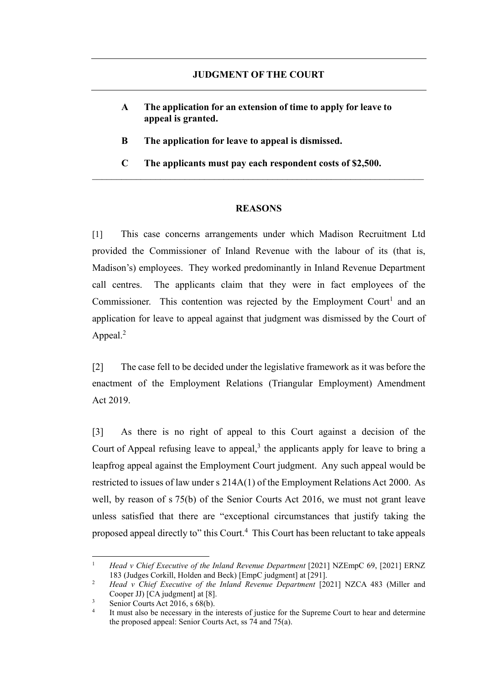- **A The application for an extension of time to apply for leave to appeal is granted.**
- **B The application for leave to appeal is dismissed.**
- **C The applicants must pay each respondent costs of \$2,500.**

## <span id="page-1-0"></span>**REASONS**

[1] This case concerns arrangements under which Madison Recruitment Ltd provided the Commissioner of Inland Revenue with the labour of its (that is, Madison's) employees. They worked predominantly in Inland Revenue Department call centres. The applicants claim that they were in fact employees of the Commissioner. This contention was rejected by the Employment Court<sup>1</sup> and an application for leave to appeal against that judgment was dismissed by the Court of Appeal.<sup>2</sup>

<span id="page-1-1"></span>[2] The case fell to be decided under the legislative framework as it was before the enactment of the Employment Relations (Triangular Employment) Amendment Act 2019.

[3] As there is no right of appeal to this Court against a decision of the Court of Appeal refusing leave to appeal, $3$  the applicants apply for leave to bring a leapfrog appeal against the Employment Court judgment. Any such appeal would be restricted to issues of law under s 214A(1) of the Employment Relations Act 2000. As well, by reason of s 75(b) of the Senior Courts Act 2016, we must not grant leave unless satisfied that there are "exceptional circumstances that justify taking the proposed appeal directly to" this Court.<sup>4</sup> This Court has been reluctant to take appeals

<sup>1</sup> *Head v Chief Executive of the Inland Revenue Department* [2021] NZEmpC 69, [2021] ERNZ 183 (Judges Corkill, Holden and Beck) [EmpC judgment] at [291].

<sup>&</sup>lt;sup>2</sup> *Head v Chief Executive of the Inland Revenue Department* [2021] NZCA 483 (Miller and Cooper JJ) [CA judgment] at [8].

<sup>&</sup>lt;sup>3</sup> Senior Courts Act 2016, s 68(b).

It must also be necessary in the interests of justice for the Supreme Court to hear and determine the proposed appeal: Senior Courts Act, ss 74 and 75(a).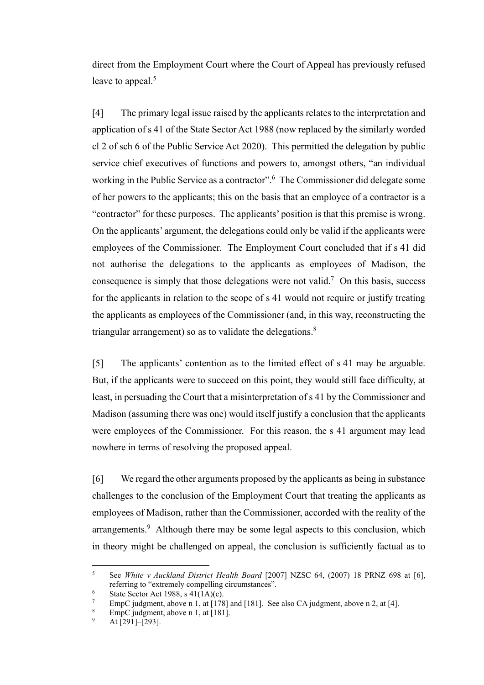direct from the Employment Court where the Court of Appeal has previously refused leave to appeal.<sup>5</sup>

[4] The primary legal issue raised by the applicants relates to the interpretation and application of s 41 of the State Sector Act 1988 (now replaced by the similarly worded cl 2 of sch 6 of the Public Service Act 2020). This permitted the delegation by public service chief executives of functions and powers to, amongst others, "an individual working in the Public Service as a contractor".<sup>6</sup> The Commissioner did delegate some of her powers to the applicants; this on the basis that an employee of a contractor is a "contractor" for these purposes. The applicants' position is that this premise is wrong. On the applicants' argument, the delegations could only be valid if the applicants were employees of the Commissioner. The Employment Court concluded that if s 41 did not authorise the delegations to the applicants as employees of Madison, the consequence is simply that those delegations were not valid.<sup>7</sup> On this basis, success for the applicants in relation to the scope of s 41 would not require or justify treating the applicants as employees of the Commissioner (and, in this way, reconstructing the triangular arrangement) so as to validate the delegations. $8$ 

[5] The applicants' contention as to the limited effect of s 41 may be arguable. But, if the applicants were to succeed on this point, they would still face difficulty, at least, in persuading the Court that a misinterpretation of s 41 by the Commissioner and Madison (assuming there was one) would itself justify a conclusion that the applicants were employees of the Commissioner. For this reason, the s 41 argument may lead nowhere in terms of resolving the proposed appeal.

[6] We regard the other arguments proposed by the applicants as being in substance challenges to the conclusion of the Employment Court that treating the applicants as employees of Madison, rather than the Commissioner, accorded with the reality of the arrangements.<sup>9</sup> Although there may be some legal aspects to this conclusion, which in theory might be challenged on appeal, the conclusion is sufficiently factual as to

<sup>5</sup> See *White v Auckland District Health Board* [2007] NZSC 64, (2007) 18 PRNZ 698 at [6], referring to "extremely compelling circumstances".

<sup>&</sup>lt;sup>6</sup> State Sector Act 1988, s  $41(1A)(c)$ .

EmpC judgment, above n [1,](#page-1-0) at  $[178]$  and  $[181]$ . See also CA judgment, above n [2,](#page-1-1) at [4].

EmpC judgment, above n [1,](#page-1-0) at  $\overline{1811}$ .

At  $\left[291\right]-\left[293\right]$ .